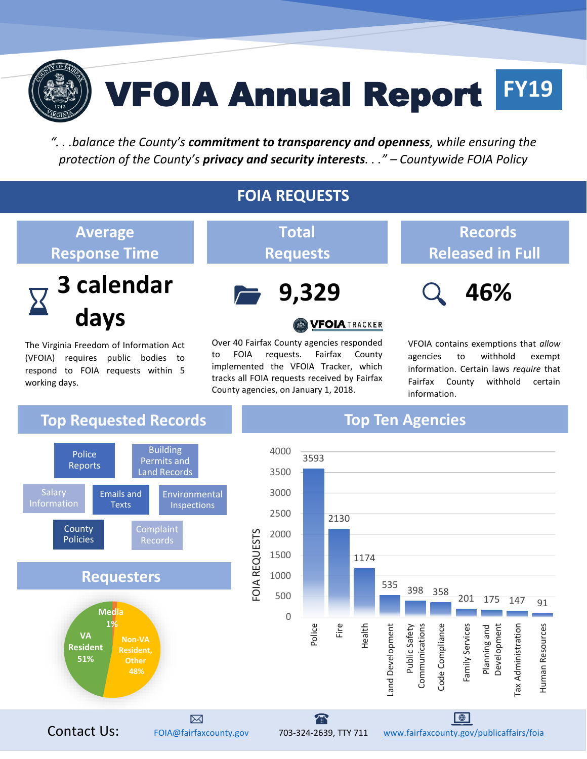

# VFOIA Annual Report **FY19**

*". . .balance the County's commitment to transparency and openness, while ensuring the protection of the County's privacy and security interests. . ." – Countywide FOIA Policy*

#### **FOIA REQUESTS**

#### **Average Response Time**



The Virginia Freedom of Information Act (VFOIA) requires public bodies to respond to FOIA requests within 5 working days.

**Total Requests**



#### **VFOIATRACKER**

Over 40 Fairfax County agencies responded to FOIA requests. Fairfax County implemented the VFOIA Tracker, which tracks all FOIA requests received by Fairfax County agencies, on January 1, 2018.

### **Records Released in Full**



VFOIA contains exemptions that *allow*  agencies to withhold exempt information. Certain laws *require* that Fairfax County withhold certain information.